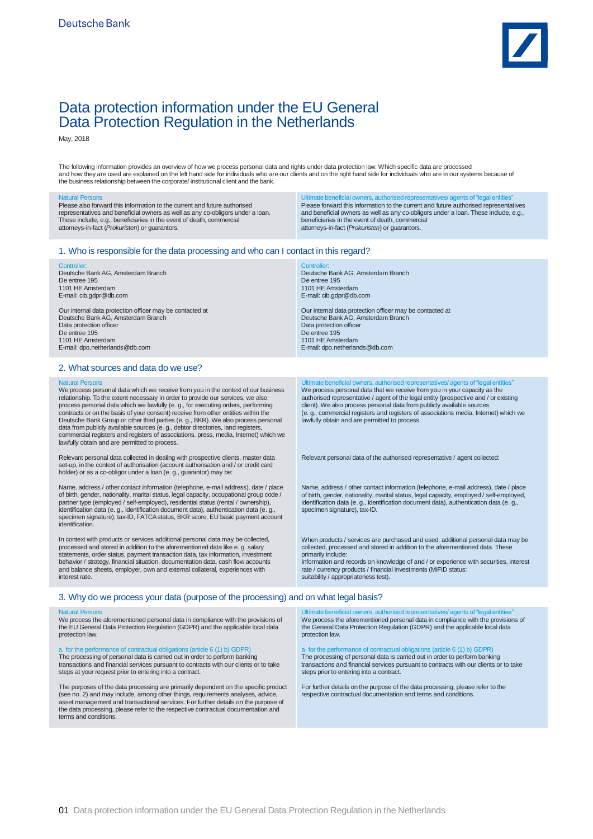

# Data protection information under the EU General Data Protection Regulation in the Netherlands

May, 2018

The following information provides an overview of how we process personal data and rights under data protection law. Which specific data are processed<br>and how they are used are explained on the left hand side for individua

| <b>Natural Persons</b><br>Please also forward this information to the current and future authorised<br>representatives and beneficial owners as well as any co-obligors under a loan.<br>These include, e.g., beneficiaries in the event of death, commercial<br>attorneys-in-fact (Prokuristen) or guarantors.                                                                                                                                                                                                                                                                                                                                                                           | Ultimate beneficial owners, authorised representatives/agents of "legal entities"<br>Please forward this information to the current and future authorised representatives<br>and beneficial owners as well as any co-obligors under a loan. These include, e.g.,<br>beneficiaries in the event of death, commercial<br>attorneys-in-fact (Prokuristen) or guarantors.                                                                                                     |
|-------------------------------------------------------------------------------------------------------------------------------------------------------------------------------------------------------------------------------------------------------------------------------------------------------------------------------------------------------------------------------------------------------------------------------------------------------------------------------------------------------------------------------------------------------------------------------------------------------------------------------------------------------------------------------------------|---------------------------------------------------------------------------------------------------------------------------------------------------------------------------------------------------------------------------------------------------------------------------------------------------------------------------------------------------------------------------------------------------------------------------------------------------------------------------|
| 1. Who is responsible for the data processing and who can I contact in this regard?                                                                                                                                                                                                                                                                                                                                                                                                                                                                                                                                                                                                       |                                                                                                                                                                                                                                                                                                                                                                                                                                                                           |
| Controller:<br>Deutsche Bank AG, Amsterdam Branch<br>De entree 195<br>1101 HE Amsterdam<br>E-mail: cib.gdpr@db.com                                                                                                                                                                                                                                                                                                                                                                                                                                                                                                                                                                        | Controller:<br>Deutsche Bank AG, Amsterdam Branch<br>De entree 195<br>1101 HE Amsterdam<br>E-mail: cib.gdpr@db.com                                                                                                                                                                                                                                                                                                                                                        |
| Our internal data protection officer may be contacted at<br>Deutsche Bank AG, Amsterdam Branch<br>Data protection officer<br>De entree 195<br>1101 HE Amsterdam<br>E-mail: dpo.netherlands@db.com                                                                                                                                                                                                                                                                                                                                                                                                                                                                                         | Our internal data protection officer may be contacted at<br>Deutsche Bank AG, Amsterdam Branch<br>Data protection officer<br>De entree 195<br>1101 HE Amsterdam<br>E-mail: dpo.netherlands@db.com                                                                                                                                                                                                                                                                         |
| 2. What sources and data do we use?                                                                                                                                                                                                                                                                                                                                                                                                                                                                                                                                                                                                                                                       |                                                                                                                                                                                                                                                                                                                                                                                                                                                                           |
| <b>Natural Persons</b><br>We process personal data which we receive from you in the context of our business<br>relationship. To the extent necessary in order to provide our services, we also<br>process personal data which we lawfully (e. g., for executing orders, performing<br>contracts or on the basis of your consent) receive from other entities within the<br>Deutsche Bank Group or other third parties (e. g., BKR). We also process personal<br>data from publicly available sources (e. g., debtor directories, land registers,<br>commercial registers and registers of associations, press, media, Internet) which we<br>lawfully obtain and are permitted to process. | Ultimate beneficial owners, authorised representatives/agents of "legal entities"<br>We process personal data that we receive from you in your capacity as the<br>authorised representative / agent of the legal entity (prospective and / or existing<br>client). We also process personal data from publicly available sources<br>(e. g., commercial registers and registers of associations media, Internet) which we<br>lawfully obtain and are permitted to process. |
| Relevant personal data collected in dealing with prospective clients, master data<br>set-up, in the context of authorisation (account authorisation and / or credit card<br>holder) or as a co-obligor under a loan (e.g., guarantor) may be:                                                                                                                                                                                                                                                                                                                                                                                                                                             | Relevant personal data of the authorised representative / agent collected:                                                                                                                                                                                                                                                                                                                                                                                                |
| Name, address / other contact information (telephone, e-mail address), date / place<br>of birth, gender, nationality, marital status, legal capacity, occupational group code /<br>partner type (employed / self-employed), residential status (rental / ownership),<br>identification data (e. g., identification document data), authentication data (e. g.,<br>specimen signature), tax-ID, FATCA status, BKR score, EU basic payment account<br>identification.                                                                                                                                                                                                                       | Name, address / other contact information (telephone, e-mail address), date / place<br>of birth, gender, nationality, marital status, legal capacity, employed / self-employed,<br>identification data (e. g., identification document data), authentication data (e. g.,<br>specimen signature), tax-ID.                                                                                                                                                                 |
| In context with products or services additional personal data may be collected,<br>processed and stored in addition to the aforementioned data like e. g. salary<br>statements, order status, payment transaction data, tax information, investment<br>behavior / strategy, financial situation, documentation data, cash flow accounts<br>and balance sheets, employer, own and external collateral, experiences with<br>interest rate.                                                                                                                                                                                                                                                  | When products / services are purchased and used, additional personal data may be<br>collected, processed and stored in addition to the aforementioned data. These<br>primarily include:<br>Information and records on knowledge of and / or experience with securities, interest<br>rate / currency products / financial investments (MiFID status:<br>suitability / appropriateness test).                                                                               |
| 3. Why do we process your data (purpose of the processing) and on what legal basis?                                                                                                                                                                                                                                                                                                                                                                                                                                                                                                                                                                                                       |                                                                                                                                                                                                                                                                                                                                                                                                                                                                           |
| <b>Natural Persons</b><br>We process the aforementioned personal data in compliance with the provisions of<br>the EU General Data Protection Regulation (GDPR) and the applicable local data<br>protection law.                                                                                                                                                                                                                                                                                                                                                                                                                                                                           | Ultimate beneficial owners, authorised representatives/agents of "legal entities"<br>We process the aforementioned personal data in compliance with the provisions of<br>the General Data Protection Regulation (GDPR) and the applicable local data<br>protection law.                                                                                                                                                                                                   |
| a. for the performance of contractual obligations (article 6 (1) b) GDPR)<br>The processing of personal data is carried out in order to perform banking<br>transactions and financial services pursuant to contracts with our clients or to take<br>steps at your request prior to entering into a contract.                                                                                                                                                                                                                                                                                                                                                                              | a. for the performance of contractual obligations (article 6 (1) b) GDPR)<br>The processing of personal data is carried out in order to perform banking<br>transactions and financial services pursuant to contracts with our clients or to take<br>steps prior to entering into a contract.                                                                                                                                                                              |
| The purposes of the data processing are primarily dependent on the specific product<br>(see no. 2) and may include, among other things, requirements analyses, advice,<br>asset management and transactional services. For further details on the purpose of<br>the data processing, please refer to the respective contractual documentation and<br>terms and conditions.                                                                                                                                                                                                                                                                                                                | For further details on the purpose of the data processing, please refer to the<br>respective contractual documentation and terms and conditions.                                                                                                                                                                                                                                                                                                                          |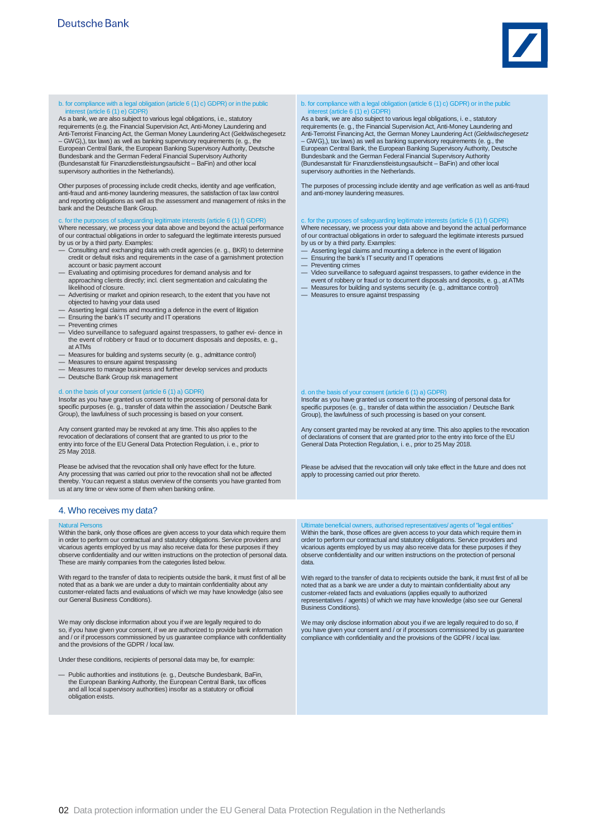

### b. for compliance with a legal obligation (article 6 (1) c) GDPR) or in the public st (article 6 (1) e) GDPR

As a bank, we are also subject to various legal obligations, i.e., statutory requirements (e.g. the Financial Supervision Act, Anti-Money Laundering and requirements (e.g. the Financial Supervision Act, Anti-Money Laundering and Anti-Terrorist Financing Act, the German Money Laundering Act (Geldwäschegesetz – GWG),), tax laws) as well as banking supervisory requirements (e. g., the European Central Bank, the European Banking Supervisory Authority, Deutsche Bundesbank and the German Federal Financial Supervisory Authority (Bundesanstalt für Finanzdienstleistungsaufsicht – BaFin) and other local supervisory authorities in the Netherlands).

Other purposes of processing include credit checks, identity and age verification, anti-fraud and anti-money laundering measures, the satisfaction of tax law control and reporting obligations as well as the assessment and management of risks in the bank and the Deutsche Bank Group.

### c. for the purposes of safeguarding legitimate interests (article  $6(1)$  f) GDPR

Where necessary, we process your data above and beyond the actual performance of our contractual obligations in order to safeguard the legitimate interests pursued by us or by a third party. Examples:

- Consulting and exchanging data with credit agencies (e. g., BKR) to determine credit or default risks and requirements in the case of a garnishment protection account or basic payment account
- Evaluating and optimising procedures for demand analysis and for approaching clients directly; incl. client segmentation and calculating the likelihood of closure.
- Advertising or market and opinion research, to the extent that you have not objected to having your data used
- Asserting legal claims and mounting a defence in the event of litigation
- Ensuring the bank's IT security and IT operations
- Preventing crimes
- Video surveillance to safeguard against trespassers, to gather evi- dence in the event of robbery or fraud or to document disposals and deposits, e. g., at ATMs
- Measures for building and systems security (e. g., admittance control)
- 
- Measures to ensure against trespassing Measures to manage business and further develop services and products
- Deutsche Bank Group risk management

# d. on the basis of your consent (article 6 (1) a) GDPR)

Insofar as you have granted us consent to the processing of personal data for specific purposes (e. g., transfer of data within the association / Deutsche Bank Group), the lawfulness of such processing is based on your consent.

Any consent granted may be revoked at any time. This also applies to the revocation of declarations of consent that are granted to us prior to the entry into force of the EU General Data Protection Regulation, i. e., prior to 25 May 2018.

Please be advised that the revocation shall only have effect for the future. Any processing that was carried out prior to the revocation shall not be affected thereby. You can request a status overview of the consents you have granted from us at any time or view some of them when banking online.

## 4. Who receives my data?

Natural Persons Within the bank, only those offices are given access to your data which require them in order to perform our contractual and statutory obligations. Service providers and vicarious agents employed by us may also receive data for these purposes if they observe confidentiality and our written instructions on the protection of personal data. These are mainly companies from the categories listed below.

With regard to the transfer of data to recipients outside the bank, it must first of all be noted that as a bank we are under a duty to maintain confidentiality about any customer-related facts and evaluations of which we may have knowledge (also see our General Business Conditions).

We may only disclose information about you if we are legally required to do so, if you have given your consent, if we are authorized to provide bank information and / or if processors commissioned by us guarantee compliance with confidentiality and the provisions of the GDPR / local law.

Under these conditions, recipients of personal data may be, for example:

— Public authorities and institutions (e. g., Deutsche Bundesbank, BaFin, the European Banking Authority, the European Central Bank, tax offices and all local supervisory authorities) insofar as a statutory or official obligation exists.

# b. for compliance with a legal obligation (article 6 (1) c) GDPR) or in the public interest (article 6 (1) e) GDPR)

As a bank, we are also subject to various legal obligations, i. e., statutory requirements (e. g., the Financial SupervisionAct, Anti-Money Laundering and Anti-Terrorist FinancingAct, the German Money LaunderingAct (*Geldwäschegesetz* – GWG),), tax laws) as well as banking supervisory requirements (e. g., the European Central Bank, the European Banking Supervisory Authority, Deutsche Bundesbank and the German Federal Financial Supervisory Authority (Bundesanstalt für Finanzdienstleistungsaufsicht – BaFin) and other local supervisory authorities in the Netherlands.

The purposes of processing include identity and age verification as well as anti-fraud and anti-money laundering measures.

# c. for the purposes of safeguarding legitimate interests (article 6 (1) f) GDPR)

Where necessary, we process your data above and beyond the actual performance of our contractual obligations in order to safeguard the legitimate interests pursued by us or by a third party. Examples:

- Asserting legal claims and mounting a defence in the event of litigation Ensuring the bank's IT security and IT operations
- 
- Preventing crimes
- Video surveillance to safeguard against trespassers, to gather evidence in the event of robbery or fraud or to document disposals and deposits, e. g., at ATMs
- Measures for building and systems security (e. g., admittance control)
- Measures to ensure against trespassing

### d. on the basis of your consent (article 6 (1) a) GDPR)

Insofar as you have granted us consent to the processing of personal data for specific purposes (e. g., transfer of data within the association / Deutsche Bank Group), the lawfulness of such processing is based on your consent.

Any consent granted may be revoked at any time. This also applies to the revocation of declarations of consent that are granted prior to the entry into force of the EU General Data Protection Regulation, i. e., prior to 25 May 2018.

Please be advised that the revocation will only take effect in the future and does not apply to processing carried out prior thereto.

Ultimate beneficial owners, authorised representatives/ agents of"legal entities" Within the bank, those offices are given access to your data which require them in order to perform our contractual and statutory obligations. Service providers and vicarious agents employed by us may also receive data for these purposes if they observe confidentiality and our written instructions on the protection of personal data.

With regard to the transfer of data to recipients outside the bank, it must first of all be noted that as a bank we are under a duty to maintain confidentiality about any customer-related facts and evaluations (applies equally to authorized representatives / agents) of which we may have knowledge (also see our General Business Conditions).

We may only disclose information about you if we are legally required to do so, if you have given your consent and / or if processors commissioned by us guarantee compliance with confidentiality and the provisions of the GDPR / local law.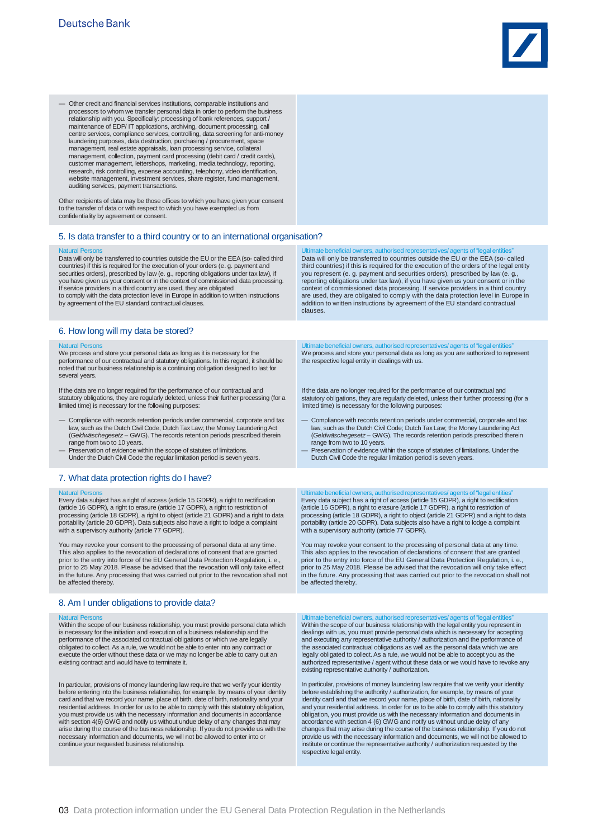

— Other credit and financial services institutions, comparable institutions and processors to whom we transfer personal data in order to perform the business relationship with you. Specifically: processing of bank references, support / maintenance of EDP/ IT applications, archiving, document processing, call centre services, compliance services, controlling, data screening for anti-money laundering purposes, data destruction, purchasing / procurement, space management, real estate appraisals, loan processing service, collateral management, collection, payment card processing (debit card / credit cards), customer management, lettershops, marketing, media technology, reporting, research, risk controlling, expense accounting, telephony, video identification, website management, investment services, share register, fund management, auditing services, payment transactions.

Other recipients of data may be those offices to which you have given your consent to the transfer of data or with respect to which you have exempted us from confidentiality by agreement or consent.

## 5. Is data transfer to a third country or to an international organisation?

Natural Persons Data will only be transferred to countries outside the EU or the EEA(so- called third countries) if this is required for the execution of your orders (e. g. payment and securities orders), prescribed by law (e. g., reporting obligations under tax law), if you have given us your consent or in the context of commissioned data processing. If service providers in a third country are used, they are obligated to comply with the data protection level in Europe in addition to written instructions by agreement of the EU standard contractual clauses.

6. How long will my data be stored?

Natural Persons We process and store your personal data as long as it is necessary for the performance of our contractual and statutory obligations. In this regard, it should be noted that our business relationship is a continuing obligation designed to last for several years.

If the data are no longer required for the performance of our contractual and statutory obligations, they are regularly deleted, unless their further processing (for a limited time) is necessary for the following purposes:

- Compliance with records retention periods under commercial, corporate and tax law, such as the Dutch Civil Code, Dutch Tax Law; the Money LaunderingAct (*Geldwäschegesetz* – GWG). The records retention periods prescribed therein range from two to 10 years.
- Preservation of evidence within the scope of statutes of limitations. Under the Dutch Civil Code the regular limitation period is seven years.

# 7. What data protection rights do I have?

### Natural Persons

Every data subject has a right of access (article 15 GDPR), a right to rectification (article 16 GDPR), a right to erasure (article 17 GDPR), a right to restriction of processing (article 18 GDPR), a right to object (article 21 GDPR) and a right to data portability (article 20 GDPR). Data subjects also have a right to lodge a complaint with a supervisory authority (article 77 GDPR).

You may revoke your consent to the processing of personal data at any time. This also applies to the revocation of declarations of consent that are granted prior to the entry into force of the EU General Data Protection Regulation, i. e., prior to 25 May 2018. Please be advised that the revocation will only take effect in the future. Any processing that was carried out prior to the revocation shall not be affected thereby.

## 8. Am I under obligations to provide data?

Natural Persons Within the scope of our business relationship, you must provide personal data which is necessary for the initiation and execution of a business relationship and the performance of the associated contractual obligations or which we are legally obligated to collect. As a rule, we would not be able to enter into any contract or execute the order without these data or we may no longer be able to carry out an existing contract and would have to terminate it.

In particular, provisions of money laundering law require that we verify your identity before entering into the business relationship, for example, by means of your identity card and that we record your name, place of birth, date of birth, nationality and your residential address. In order for us to be able to comply with this statutory obligation,<br>you must provide us with the necessary information and documents in accordance<br>with section 4(6) GWG and notify us without undue del arise during the course of the business relationship. If you do not provide us with the necessary information and documents, we will not be allowed to enter into or continue your requested business relationship.

Ultimate beneficial owners, authorised representatives/ agents of"legal entities" Data will only be transferred to countries outside the EU or the EEA (so- called third countries) if this is required for the execution of the orders of the legal entity you represent (e. g. payment and securities orders), prescribed by law (e. g. reporting obligations under tax law), if you have given us your consent or in the context of commissioned data processing. If service providers in a third country are used, they are obligated to comply with the data protection level in Europe in addition to written instructions by agreement of the EU standard contractual clauses.

timate beneficial owners, authorised representatives/ agents of "legal entities" We process and store your personal data as long as you are authorized to represent the respective legal entity in dealings with us.

If the data are no longer required for the performance of our contractual and statutory obligations, they are regularly deleted, unless their further processing (for a limited time) is necessary for the following purposes:

- Compliance with records retention periods under commercial, corporate and tax law, such as the Dutch Civil Code; Dutch Tax Law; the Money LaunderingAct (*Geldwäschegesetz* – GWG). The records retention periods prescribed therein range from two to 10 years.
- Preservation of evidence within the scope of statutes of limitations. Under the Dutch Civil Code the regular limitation period is seven years.

Ultimate beneficial owners, authorised representatives/ agents of"legal entities" Every data subject has a right of access (article 15 GDPR), a right to rectification (article 16 GDPR), a right to erasure (article 17 GDPR), a right to restriction of processing (article 18 GDPR), a right to object (article 21 GDPR) and a right to data portability (article 20 GDPR). Data subjects also have a right to lodge a complaint with a supervisory authority (article 77 GDPR).

You may revoke your consent to the processing of personal data at any time. This also applies to the revocation of declarations of consent that are granted prior to the entry into force of the EU General Data Protection Regulation, i. e., prior to 25 May 2018. Please be advised that the revocation will only take effect in the future. Any processing that was carried out prior to the revocation shall not be affected thereby.

, authoris Within the scope of our business relationship with the legal entity you represent in dealings with us, you must provide personal data which is necessary for accepting<br>and executing any representative authority / authorization and the performance of<br>the associated contractual obligations as well as the pers legally obligated to collect. As a rule, we would not be able to accept you as the authorized representative / agent without these data or we would have to revoke any existing representative authority / authorization.

In particular, provisions of money laundering law require that we verify your identity<br>before establishing the authority / authorization, for example, by means of your<br>identity card and that we record your name, place of b and your residential address. In order for us to be able to comply with this statutory obligation, you must provide us with the necessary information and documents in accordance with section 4 (6) GWG and notify us without undue delay of any changes that may arise during the course of the business relationship. If you do not provide us with the necessary information and documents, we will not be allowed to institute or continue the representative authority / authorization requested by the respective legal entity.